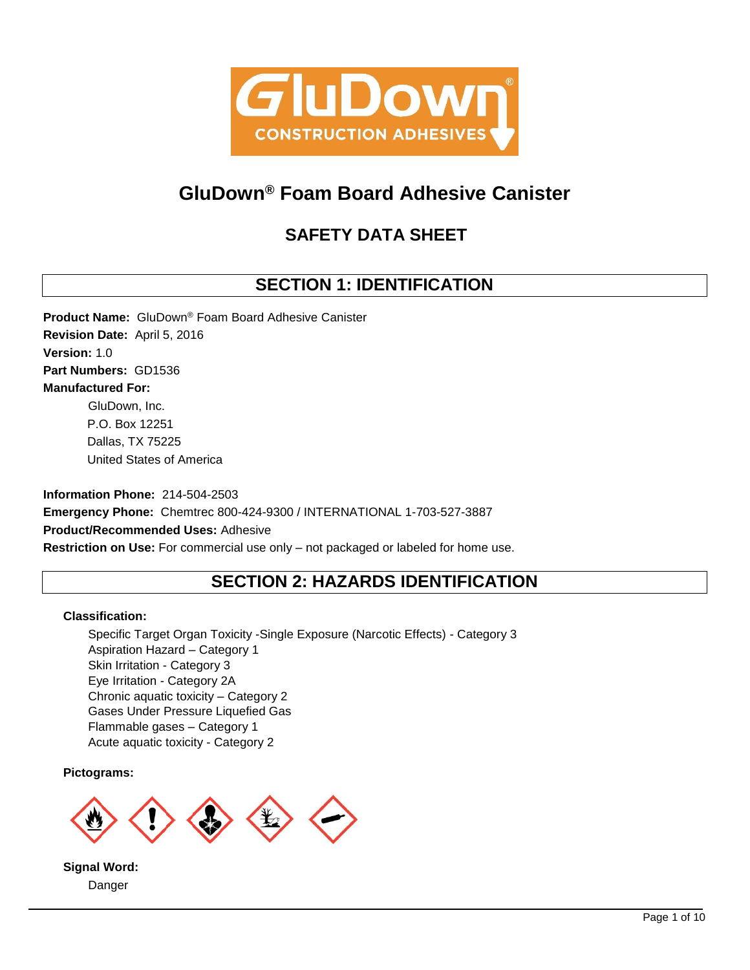

# **GluDown® Foam Board Adhesive Canister**

# **SAFETY DATA SHEET**

# **SECTION 1: IDENTIFICATION**

**Product Name:** GluDown® Foam Board Adhesive Canister **Revision Date:** April 5, 2016 **Version:** 1.0 **Part Numbers:** GD1536 **Manufactured For:** GluDown, Inc. P.O. Box 12251 Dallas, TX 75225 United States of America

**Information Phone:** 214-504-2503 **Emergency Phone:** Chemtrec 800-424-9300 / INTERNATIONAL 1-703-527-3887 **Product/Recommended Uses:** Adhesive **Restriction on Use:** For commercial use only – not packaged or labeled for home use.

# **SECTION 2: HAZARDS IDENTIFICATION**

## **Classification:**

Specific Target Organ Toxicity -Single Exposure (Narcotic Effects) - Category 3 Aspiration Hazard – Category 1 Skin Irritation - Category 3 Eye Irritation - Category 2A Chronic aquatic toxicity – Category 2 Gases Under Pressure Liquefied Gas Flammable gases – Category 1 Acute aquatic toxicity - Category 2

## **Pictograms:**



**Signal Word:** Danger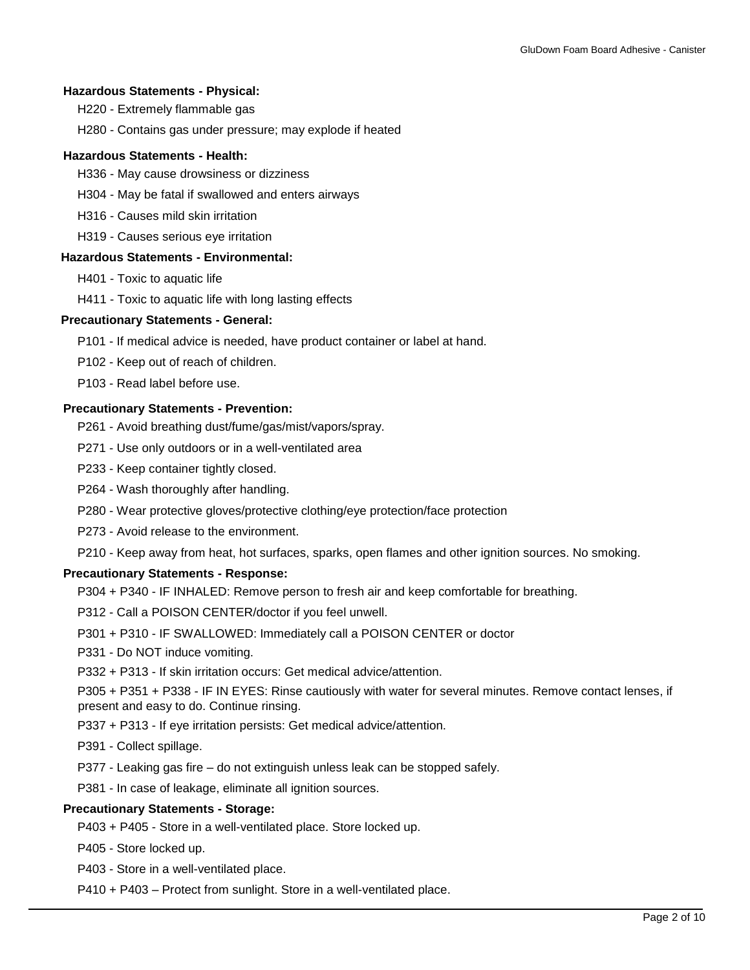#### **Hazardous Statements - Physical:**

- H220 Extremely flammable gas
- H280 Contains gas under pressure; may explode if heated

## **Hazardous Statements - Health:**

- H336 May cause drowsiness or dizziness
- H304 May be fatal if swallowed and enters airways
- H316 Causes mild skin irritation
- H319 Causes serious eye irritation

## **Hazardous Statements - Environmental:**

- H401 Toxic to aquatic life
- H411 Toxic to aquatic life with long lasting effects

### **Precautionary Statements - General:**

- P101 If medical advice is needed, have product container or label at hand.
- P102 Keep out of reach of children.
- P103 Read label before use.

### **Precautionary Statements - Prevention:**

- P261 Avoid breathing dust/fume/gas/mist/vapors/spray.
- P271 Use only outdoors or in a well-ventilated area
- P233 Keep container tightly closed.
- P264 Wash thoroughly after handling.
- P280 Wear protective gloves/protective clothing/eye protection/face protection
- P273 Avoid release to the environment.
- P210 Keep away from heat, hot surfaces, sparks, open flames and other ignition sources. No smoking.

## **Precautionary Statements - Response:**

- P304 + P340 IF INHALED: Remove person to fresh air and keep comfortable for breathing.
- P312 Call a POISON CENTER/doctor if you feel unwell.
- P301 + P310 IF SWALLOWED: Immediately call a POISON CENTER or doctor
- P331 Do NOT induce vomiting.
- P332 + P313 If skin irritation occurs: Get medical advice/attention.

P305 + P351 + P338 - IF IN EYES: Rinse cautiously with water for several minutes. Remove contact lenses, if present and easy to do. Continue rinsing.

- P337 + P313 If eye irritation persists: Get medical advice/attention.
- P391 Collect spillage.
- P377 Leaking gas fire do not extinguish unless leak can be stopped safely.
- P381 In case of leakage, eliminate all ignition sources.

## **Precautionary Statements - Storage:**

P403 + P405 - Store in a well-ventilated place. Store locked up.

P405 - Store locked up.

- P403 Store in a well-ventilated place.
- P410 + P403 Protect from sunlight. Store in a well-ventilated place.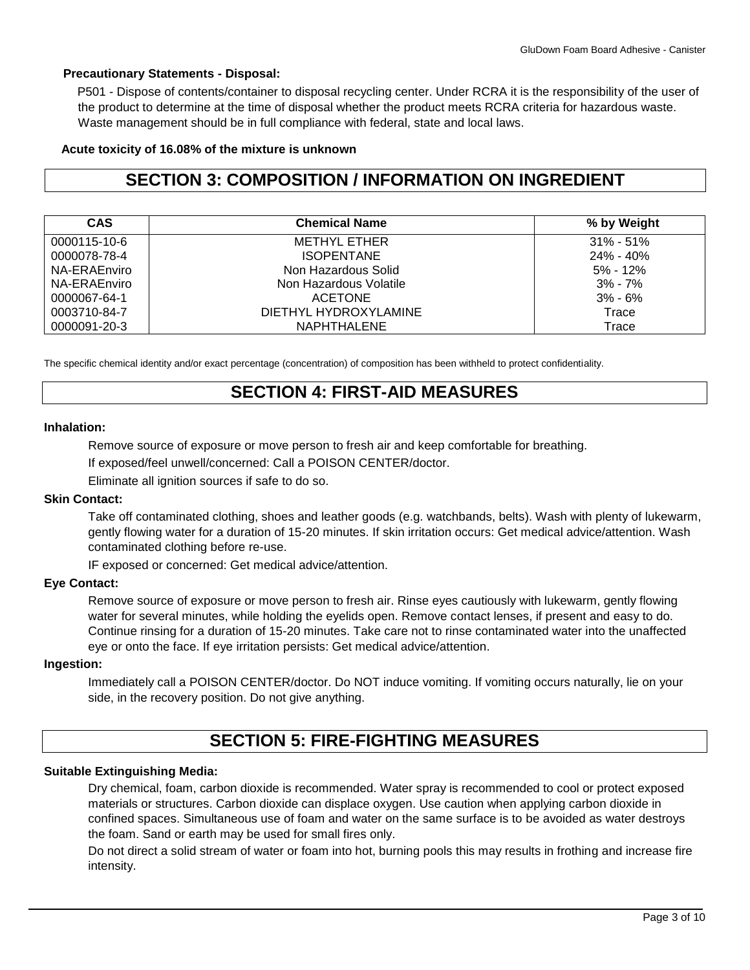## **Precautionary Statements - Disposal:**

P501 - Dispose of contents/container to disposal recycling center. Under RCRA it is the responsibility of the user of the product to determine at the time of disposal whether the product meets RCRA criteria for hazardous waste. Waste management should be in full compliance with federal, state and local laws.

## **Acute toxicity of 16.08% of the mixture is unknown**

# **SECTION 3: COMPOSITION / INFORMATION ON INGREDIENT**

| <b>CAS</b>   | <b>Chemical Name</b>   | % by Weight   |
|--------------|------------------------|---------------|
| 0000115-10-6 | METHYL ETHER           | $31\% - 51\%$ |
| 0000078-78-4 | <b>ISOPENTANE</b>      | 24% - 40%     |
| NA-ERAEnviro | Non Hazardous Solid    | $5\% - 12\%$  |
| NA-ERAEnviro | Non Hazardous Volatile | $3\% - 7\%$   |
| 0000067-64-1 | <b>ACETONE</b>         | $3\% - 6\%$   |
| 0003710-84-7 | DIETHYL HYDROXYLAMINE  | Trace         |
| 0000091-20-3 | NAPHTHALENE            | Trace         |

The specific chemical identity and/or exact percentage (concentration) of composition has been withheld to protect confidentiality.

## **SECTION 4: FIRST-AID MEASURES**

## **Inhalation:**

Remove source of exposure or move person to fresh air and keep comfortable for breathing.

If exposed/feel unwell/concerned: Call a POISON CENTER/doctor.

Eliminate all ignition sources if safe to do so.

## **Skin Contact:**

Take off contaminated clothing, shoes and leather goods (e.g. watchbands, belts). Wash with plenty of lukewarm, gently flowing water for a duration of 15-20 minutes. If skin irritation occurs: Get medical advice/attention. Wash contaminated clothing before re-use.

IF exposed or concerned: Get medical advice/attention.

## **Eye Contact:**

Remove source of exposure or move person to fresh air. Rinse eyes cautiously with lukewarm, gently flowing water for several minutes, while holding the eyelids open. Remove contact lenses, if present and easy to do. Continue rinsing for a duration of 15-20 minutes. Take care not to rinse contaminated water into the unaffected eye or onto the face. If eye irritation persists: Get medical advice/attention.

## **Ingestion:**

Immediately call a POISON CENTER/doctor. Do NOT induce vomiting. If vomiting occurs naturally, lie on your side, in the recovery position. Do not give anything.

# **SECTION 5: FIRE-FIGHTING MEASURES**

## **Suitable Extinguishing Media:**

Dry chemical, foam, carbon dioxide is recommended. Water spray is recommended to cool or protect exposed materials or structures. Carbon dioxide can displace oxygen. Use caution when applying carbon dioxide in confined spaces. Simultaneous use of foam and water on the same surface is to be avoided as water destroys the foam. Sand or earth may be used for small fires only.

Do not direct a solid stream of water or foam into hot, burning pools this may results in frothing and increase fire intensity.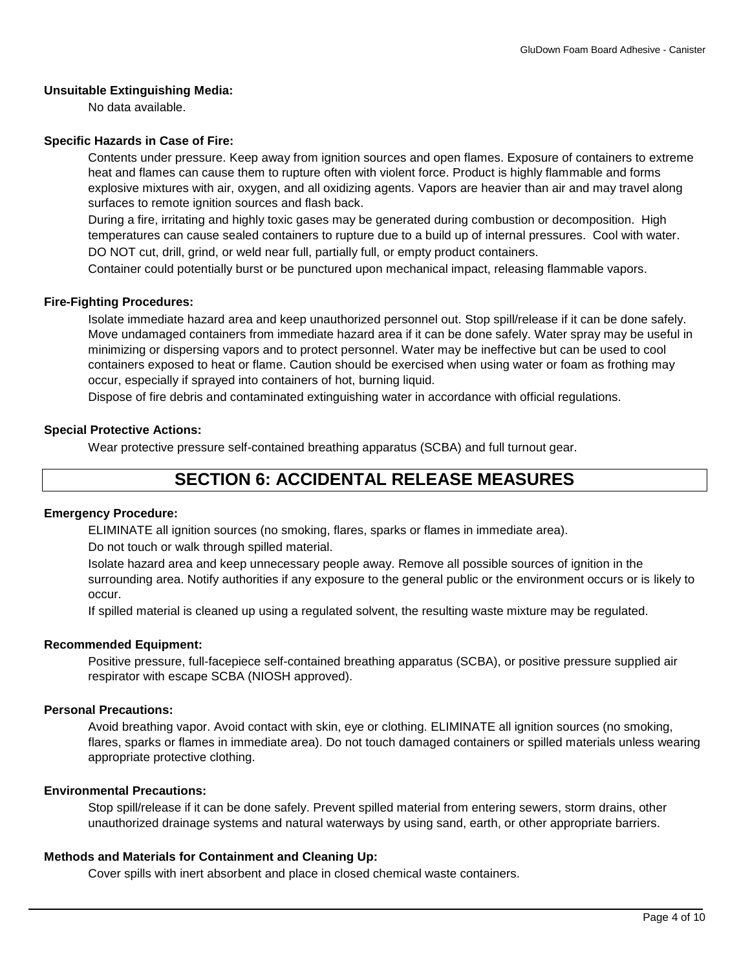## **Unsuitable Extinguishing Media:**

No data available.

## **Specific Hazards in Case of Fire:**

Contents under pressure. Keep away from ignition sources and open flames. Exposure of containers to extreme heat and flames can cause them to rupture often with violent force. Product is highly flammable and forms explosive mixtures with air, oxygen, and all oxidizing agents. Vapors are heavier than air and may travel along surfaces to remote ignition sources and flash back.

During a fire, irritating and highly toxic gases may be generated during combustion or decomposition. High temperatures can cause sealed containers to rupture due to a build up of internal pressures. Cool with water. DO NOT cut, drill, grind, or weld near full, partially full, or empty product containers.

Container could potentially burst or be punctured upon mechanical impact, releasing flammable vapors.

## **Fire-Fighting Procedures:**

Isolate immediate hazard area and keep unauthorized personnel out. Stop spill/release if it can be done safely. Move undamaged containers from immediate hazard area if it can be done safely. Water spray may be useful in minimizing or dispersing vapors and to protect personnel. Water may be ineffective but can be used to cool containers exposed to heat or flame. Caution should be exercised when using water or foam as frothing may occur, especially if sprayed into containers of hot, burning liquid.

Dispose of fire debris and contaminated extinguishing water in accordance with official regulations.

## **Special Protective Actions:**

Wear protective pressure self-contained breathing apparatus (SCBA) and full turnout gear.

# **SECTION 6: ACCIDENTAL RELEASE MEASURES**

## **Emergency Procedure:**

ELIMINATE all ignition sources (no smoking, flares, sparks or flames in immediate area).

Do not touch or walk through spilled material.

Isolate hazard area and keep unnecessary people away. Remove all possible sources of ignition in the surrounding area. Notify authorities if any exposure to the general public or the environment occurs or is likely to occur.

If spilled material is cleaned up using a regulated solvent, the resulting waste mixture may be regulated.

## **Recommended Equipment:**

Positive pressure, full-facepiece self-contained breathing apparatus (SCBA), or positive pressure supplied air respirator with escape SCBA (NIOSH approved).

## **Personal Precautions:**

Avoid breathing vapor. Avoid contact with skin, eye or clothing. ELIMINATE all ignition sources (no smoking, flares, sparks or flames in immediate area). Do not touch damaged containers or spilled materials unless wearing appropriate protective clothing.

## **Environmental Precautions:**

Stop spill/release if it can be done safely. Prevent spilled material from entering sewers, storm drains, other unauthorized drainage systems and natural waterways by using sand, earth, or other appropriate barriers.

## **Methods and Materials for Containment and Cleaning Up:**

Cover spills with inert absorbent and place in closed chemical waste containers.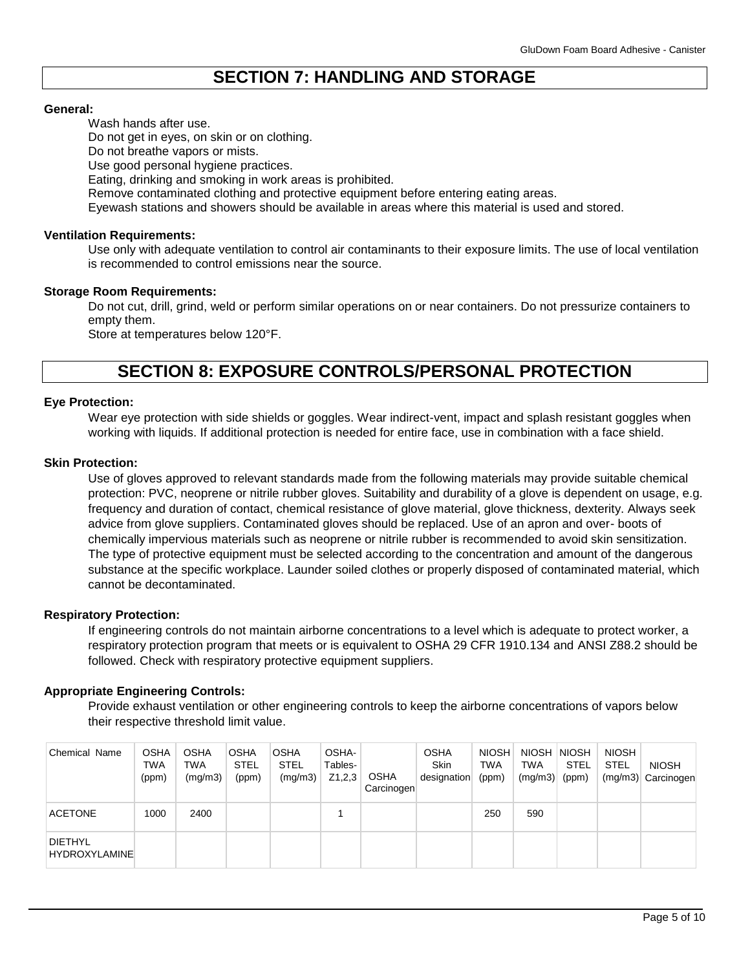# **SECTION 7: HANDLING AND STORAGE**

## **General:**

Wash hands after use.

Do not get in eyes, on skin or on clothing.

Do not breathe vapors or mists.

Use good personal hygiene practices.

Eating, drinking and smoking in work areas is prohibited.

Remove contaminated clothing and protective equipment before entering eating areas.

Eyewash stations and showers should be available in areas where this material is used and stored.

### **Ventilation Requirements:**

Use only with adequate ventilation to control air contaminants to their exposure limits. The use of local ventilation is recommended to control emissions near the source.

### **Storage Room Requirements:**

Do not cut, drill, grind, weld or perform similar operations on or near containers. Do not pressurize containers to empty them.

Store at temperatures below 120°F.

## **SECTION 8: EXPOSURE CONTROLS/PERSONAL PROTECTION**

### **Eye Protection:**

Wear eye protection with side shields or goggles. Wear indirect-vent, impact and splash resistant goggles when working with liquids. If additional protection is needed for entire face, use in combination with a face shield.

### **Skin Protection:**

Use of gloves approved to relevant standards made from the following materials may provide suitable chemical protection: PVC, neoprene or nitrile rubber gloves. Suitability and durability of a glove is dependent on usage, e.g. frequency and duration of contact, chemical resistance of glove material, glove thickness, dexterity. Always seek advice from glove suppliers. Contaminated gloves should be replaced. Use of an apron and over- boots of chemically impervious materials such as neoprene or nitrile rubber is recommended to avoid skin sensitization. The type of protective equipment must be selected according to the concentration and amount of the dangerous substance at the specific workplace. Launder soiled clothes or properly disposed of contaminated material, which cannot be decontaminated.

## **Respiratory Protection:**

If engineering controls do not maintain airborne concentrations to a level which is adequate to protect worker, a respiratory protection program that meets or is equivalent to OSHA 29 CFR 1910.134 and ANSI Z88.2 should be followed. Check with respiratory protective equipment suppliers.

## **Appropriate Engineering Controls:**

Provide exhaust ventilation or other engineering controls to keep the airborne concentrations of vapors below their respective threshold limit value.

| <b>Chemical Name</b>                   | <b>OSHA</b><br>TWA<br>(ppm) | <b>OSHA</b><br>TWA<br>(mg/m3) | <b>OSHA</b><br><b>STEL</b><br>(ppm) | <b>OSHA</b><br><b>STEL</b><br>(mg/m3) | OSHA-<br>Tables-<br>Z1,2,3 | <b>OSHA</b><br>Carcinogen | <b>OSHA</b><br><b>Skin</b><br>designation | <b>NIOSH</b><br><b>TWA</b><br>(ppm) | NIOSH NIOSH<br><b>TWA</b><br>(mg/m3) | STEL<br>(ppm) | <b>NIOSH</b><br><b>STEL</b><br>(mg/m3) | <b>NIOSH</b><br>Carcinogen |
|----------------------------------------|-----------------------------|-------------------------------|-------------------------------------|---------------------------------------|----------------------------|---------------------------|-------------------------------------------|-------------------------------------|--------------------------------------|---------------|----------------------------------------|----------------------------|
| <b>ACETONE</b>                         | 1000                        | 2400                          |                                     |                                       |                            |                           |                                           | 250                                 | 590                                  |               |                                        |                            |
| <b>DIETHYL</b><br><b>HYDROXYLAMINE</b> |                             |                               |                                     |                                       |                            |                           |                                           |                                     |                                      |               |                                        |                            |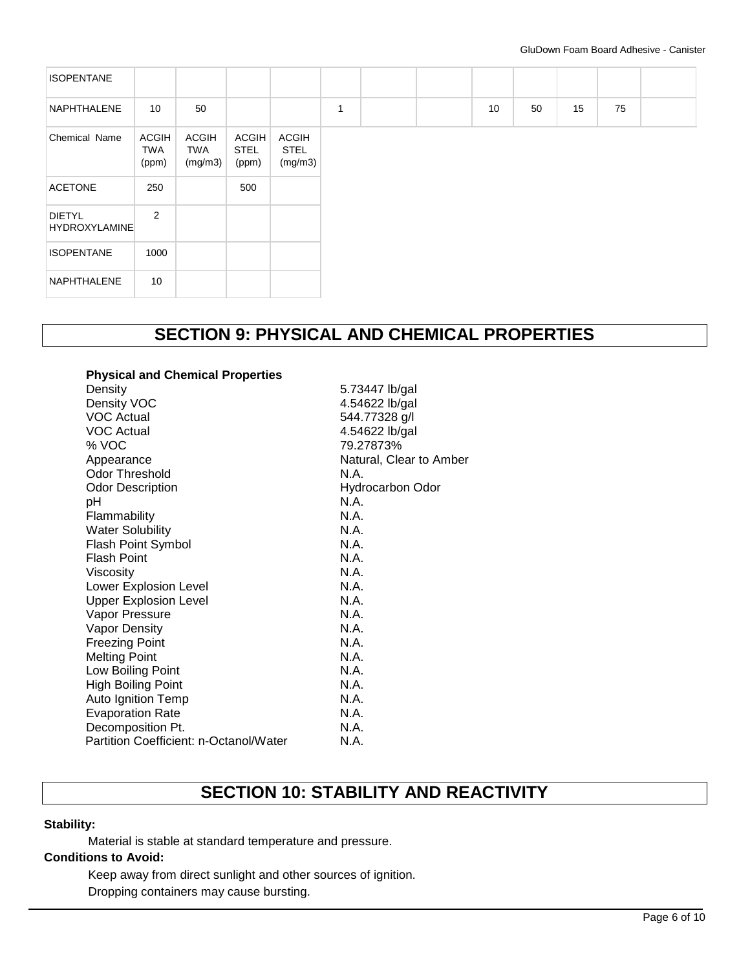| <b>ISOPENTANE</b>                     |                                     |                                       |                               |                                        |   |  |    |    |    |
|---------------------------------------|-------------------------------------|---------------------------------------|-------------------------------|----------------------------------------|---|--|----|----|----|
| NAPHTHALENE                           | 10                                  | 50                                    |                               |                                        | 1 |  | 10 | 50 | 15 |
| Chemical Name                         | <b>ACGIH</b><br><b>TWA</b><br>(ppm) | <b>ACGIH</b><br><b>TWA</b><br>(mg/m3) | ACGIH<br><b>STEL</b><br>(ppm) | <b>ACGIH</b><br><b>STEL</b><br>(mg/m3) |   |  |    |    |    |
| <b>ACETONE</b>                        | 250                                 |                                       | 500                           |                                        |   |  |    |    |    |
| <b>DIETYL</b><br><b>HYDROXYLAMINE</b> | 2                                   |                                       |                               |                                        |   |  |    |    |    |
| <b>ISOPENTANE</b>                     | 1000                                |                                       |                               |                                        |   |  |    |    |    |
| NAPHTHALENE                           | 10                                  |                                       |                               |                                        |   |  |    |    |    |

# **SECTION 9: PHYSICAL AND CHEMICAL PROPERTIES**

| <b>Physical and Chemical Properties</b> |                         |
|-----------------------------------------|-------------------------|
| Density                                 | 5.73447 lb/gal          |
| Density VOC                             | 4.54622 lb/gal          |
| <b>VOC Actual</b>                       | 544.77328 g/l           |
| <b>VOC Actual</b>                       | 4.54622 lb/gal          |
| % VOC                                   | 79.27873%               |
| Appearance                              | Natural, Clear to Amber |
| <b>Odor Threshold</b>                   | N A                     |
| <b>Odor Description</b>                 | <b>Hydrocarbon Odor</b> |
| рH                                      | N.A.                    |
| Flammability                            | N.A.                    |
| <b>Water Solubility</b>                 | N.A.                    |
| <b>Flash Point Symbol</b>               | N.A.                    |
| <b>Flash Point</b>                      | N.A.                    |
| Viscosity                               | N.A.                    |
| Lower Explosion Level                   | N.A.                    |
| <b>Upper Explosion Level</b>            | N.A.                    |
| Vapor Pressure                          | N.A.                    |
| Vapor Density                           | N.A.                    |
| <b>Freezing Point</b>                   | N.A.                    |
| <b>Melting Point</b>                    | N.A.                    |
| Low Boiling Point                       | N.A.                    |
| <b>High Boiling Point</b>               | N.A.                    |
| Auto Ignition Temp                      | N.A.                    |
| <b>Evaporation Rate</b>                 | N.A.                    |
| Decomposition Pt.                       | N.A.                    |
| Partition Coefficient: n-Octanol/Water  | N.A.                    |
|                                         |                         |

# **SECTION 10: STABILITY AND REACTIVITY**

## **Stability:**

Material is stable at standard temperature and pressure.

## **Conditions to Avoid:**

Keep away from direct sunlight and other sources of ignition. Dropping containers may cause bursting.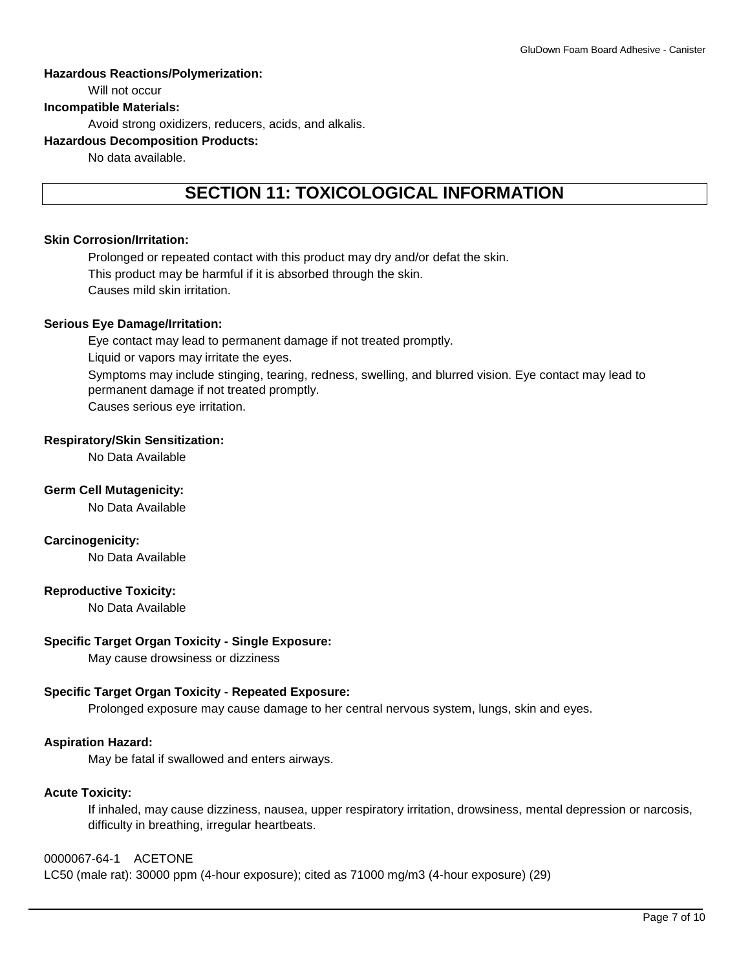## **Hazardous Reactions/Polymerization:**

Will not occur

## **Incompatible Materials:**

Avoid strong oxidizers, reducers, acids, and alkalis.

## **Hazardous Decomposition Products:**

No data available.

# **SECTION 11: TOXICOLOGICAL INFORMATION**

## **Skin Corrosion/Irritation:**

Prolonged or repeated contact with this product may dry and/or defat the skin. This product may be harmful if it is absorbed through the skin. Causes mild skin irritation.

## **Serious Eye Damage/Irritation:**

Eye contact may lead to permanent damage if not treated promptly. Liquid or vapors may irritate the eyes. Symptoms may include stinging, tearing, redness, swelling, and blurred vision. Eye contact may lead to permanent damage if not treated promptly. Causes serious eye irritation.

## **Respiratory/Skin Sensitization:**

No Data Available

## **Germ Cell Mutagenicity:**

No Data Available

## **Carcinogenicity:**

No Data Available

## **Reproductive Toxicity:**

No Data Available

## **Specific Target Organ Toxicity - Single Exposure:**

May cause drowsiness or dizziness

## **Specific Target Organ Toxicity - Repeated Exposure:**

Prolonged exposure may cause damage to her central nervous system, lungs, skin and eyes.

## **Aspiration Hazard:**

May be fatal if swallowed and enters airways.

## **Acute Toxicity:**

If inhaled, may cause dizziness, nausea, upper respiratory irritation, drowsiness, mental depression or narcosis, difficulty in breathing, irregular heartbeats.

## 0000067-64-1 ACETONE

LC50 (male rat): 30000 ppm (4-hour exposure); cited as 71000 mg/m3 (4-hour exposure) (29)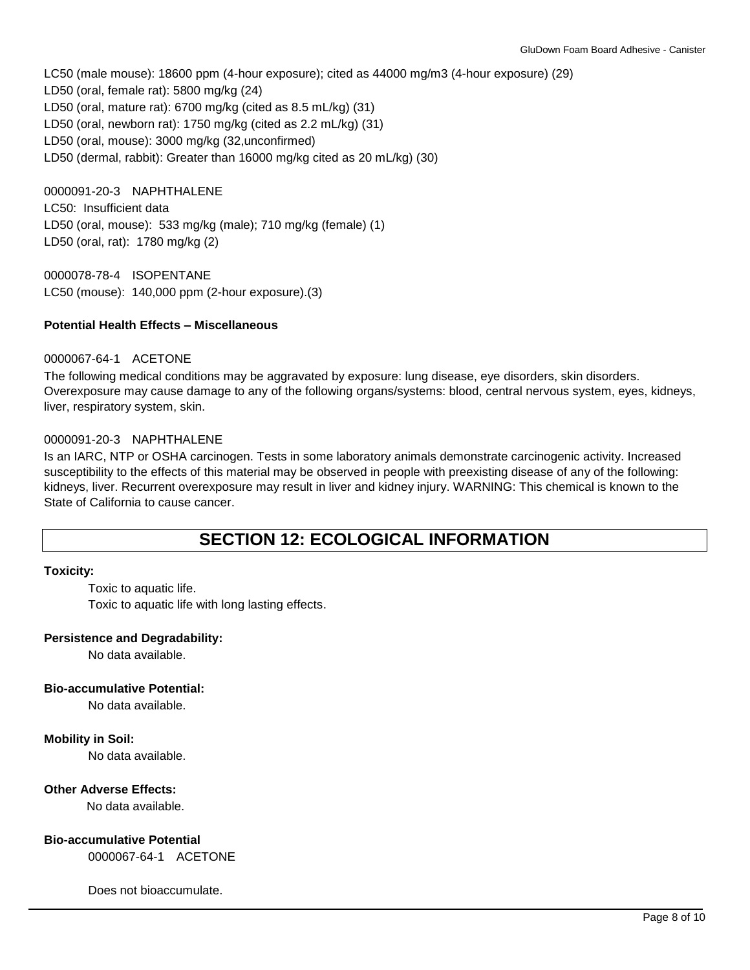LC50 (male mouse): 18600 ppm (4-hour exposure); cited as 44000 mg/m3 (4-hour exposure) (29) LD50 (oral, female rat): 5800 mg/kg (24) LD50 (oral, mature rat): 6700 mg/kg (cited as 8.5 mL/kg) (31) LD50 (oral, newborn rat): 1750 mg/kg (cited as 2.2 mL/kg) (31) LD50 (oral, mouse): 3000 mg/kg (32,unconfirmed) LD50 (dermal, rabbit): Greater than 16000 mg/kg cited as 20 mL/kg) (30)

0000091-20-3 NAPHTHALENE LC50: Insufficient data LD50 (oral, mouse): 533 mg/kg (male); 710 mg/kg (female) (1) LD50 (oral, rat): 1780 mg/kg (2)

0000078-78-4 ISOPENTANE LC50 (mouse): 140,000 ppm (2-hour exposure).(3)

## **Potential Health Effects – Miscellaneous**

## 0000067-64-1 ACETONE

The following medical conditions may be aggravated by exposure: lung disease, eye disorders, skin disorders. Overexposure may cause damage to any of the following organs/systems: blood, central nervous system, eyes, kidneys, liver, respiratory system, skin.

## 0000091-20-3 NAPHTHALENE

Is an IARC, NTP or OSHA carcinogen. Tests in some laboratory animals demonstrate carcinogenic activity. Increased susceptibility to the effects of this material may be observed in people with preexisting disease of any of the following: kidneys, liver. Recurrent overexposure may result in liver and kidney injury. WARNING: This chemical is known to the State of California to cause cancer.

## **SECTION 12: ECOLOGICAL INFORMATION**

## **Toxicity:**

Toxic to aquatic life. Toxic to aquatic life with long lasting effects.

## **Persistence and Degradability:**

No data available.

## **Bio-accumulative Potential:**

No data available.

## **Mobility in Soil:**

No data available.

## **Other Adverse Effects:**

No data available.

## **Bio-accumulative Potential**

0000067-64-1 ACETONE

Does not bioaccumulate.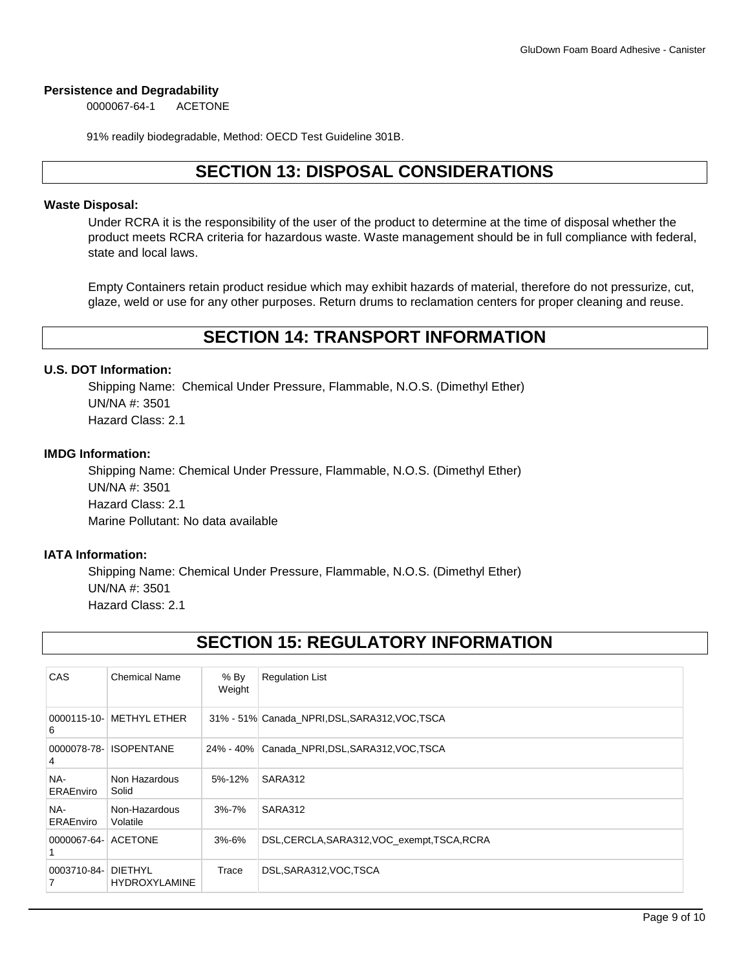## **Persistence and Degradability**

0000067-64-1 ACETONE

91% readily biodegradable, Method: OECD Test Guideline 301B.

# **SECTION 13: DISPOSAL CONSIDERATIONS**

## **Waste Disposal:**

Under RCRA it is the responsibility of the user of the product to determine at the time of disposal whether the product meets RCRA criteria for hazardous waste. Waste management should be in full compliance with federal, state and local laws.

Empty Containers retain product residue which may exhibit hazards of material, therefore do not pressurize, cut, glaze, weld or use for any other purposes. Return drums to reclamation centers for proper cleaning and reuse.

## **SECTION 14: TRANSPORT INFORMATION**

## **U.S. DOT Information:**

Shipping Name: Chemical Under Pressure, Flammable, N.O.S. (Dimethyl Ether) UN/NA #: 3501 Hazard Class: 2.1

## **IMDG Information:**

Shipping Name: Chemical Under Pressure, Flammable, N.O.S. (Dimethyl Ether) UN/NA #: 3501 Hazard Class: 2.1 Marine Pollutant: No data available

## **IATA Information:**

Shipping Name: Chemical Under Pressure, Flammable, N.O.S. (Dimethyl Ether) UN/NA #: 3501 Hazard Class: 2.1

# **SECTION 15: REGULATORY INFORMATION**

| <b>CAS</b>              | <b>Chemical Name</b>      | % By<br>Weight | <b>Regulation List</b>                           |
|-------------------------|---------------------------|----------------|--------------------------------------------------|
| 6                       | 0000115-10- METHYL ETHER  |                | 31% - 51% Canada NPRI, DSL, SARA312, VOC, TSCA   |
| 4                       | 0000078-78- ISOPENTANE    |                | 24% - 40%   Canada_NPRI, DSL, SARA312, VOC, TSCA |
| NA-<br><b>ERAEnviro</b> | Non Hazardous<br>Solid    | 5%-12%         | SARA312                                          |
| NA-<br><b>ERAEnviro</b> | Non-Hazardous<br>Volatile | 3%-7%          | SARA312                                          |
| 0000067-64- ACETONE     |                           | $3% - 6%$      | DSL, CERCLA, SARA312, VOC_exempt, TSCA, RCRA     |
| 0003710-84- DIETHYL     | <b>HYDROXYLAMINE</b>      | Trace          | DSL, SARA312, VOC, TSCA                          |